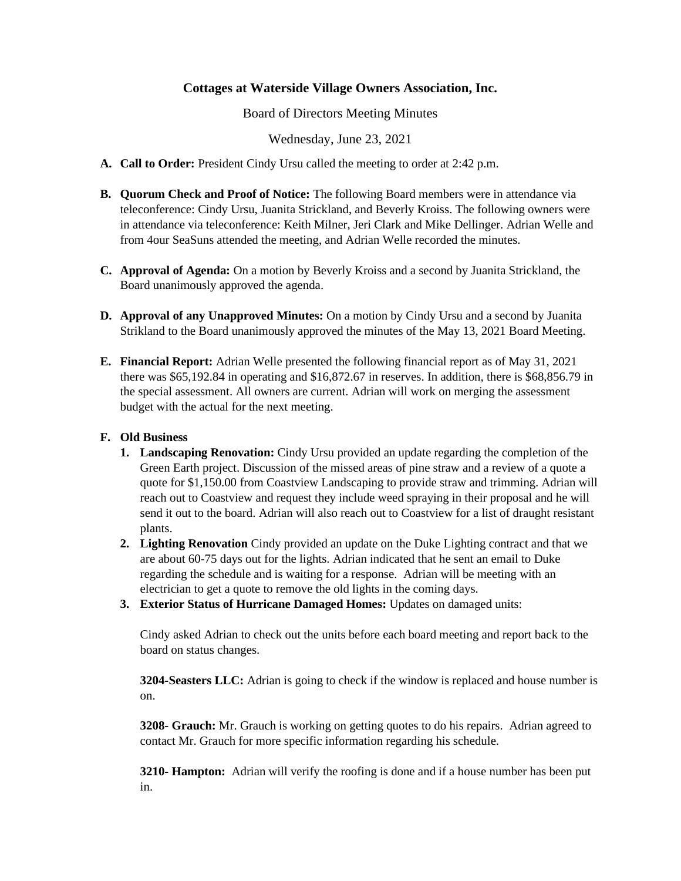## **Cottages at Waterside Village Owners Association, Inc.**

Board of Directors Meeting Minutes

Wednesday, June 23, 2021

- **A. Call to Order:** President Cindy Ursu called the meeting to order at 2:42 p.m.
- **B. Quorum Check and Proof of Notice:** The following Board members were in attendance via teleconference: Cindy Ursu, Juanita Strickland, and Beverly Kroiss. The following owners were in attendance via teleconference: Keith Milner, Jeri Clark and Mike Dellinger. Adrian Welle and from 4our SeaSuns attended the meeting, and Adrian Welle recorded the minutes.
- **C. Approval of Agenda:** On a motion by Beverly Kroiss and a second by Juanita Strickland, the Board unanimously approved the agenda.
- **D. Approval of any Unapproved Minutes:** On a motion by Cindy Ursu and a second by Juanita Strikland to the Board unanimously approved the minutes of the May 13, 2021 Board Meeting.
- **E. Financial Report:** Adrian Welle presented the following financial report as of May 31, 2021 there was \$65,192.84 in operating and \$16,872.67 in reserves. In addition, there is \$68,856.79 in the special assessment. All owners are current. Adrian will work on merging the assessment budget with the actual for the next meeting.

## **F. Old Business**

- **1. Landscaping Renovation:** Cindy Ursu provided an update regarding the completion of the Green Earth project. Discussion of the missed areas of pine straw and a review of a quote a quote for \$1,150.00 from Coastview Landscaping to provide straw and trimming. Adrian will reach out to Coastview and request they include weed spraying in their proposal and he will send it out to the board. Adrian will also reach out to Coastview for a list of draught resistant plants.
- **2. Lighting Renovation** Cindy provided an update on the Duke Lighting contract and that we are about 60-75 days out for the lights. Adrian indicated that he sent an email to Duke regarding the schedule and is waiting for a response. Adrian will be meeting with an electrician to get a quote to remove the old lights in the coming days.
- **3. Exterior Status of Hurricane Damaged Homes:** Updates on damaged units:

Cindy asked Adrian to check out the units before each board meeting and report back to the board on status changes.

**3204-Seasters LLC:** Adrian is going to check if the window is replaced and house number is on.

**3208- Grauch:** Mr. Grauch is working on getting quotes to do his repairs. Adrian agreed to contact Mr. Grauch for more specific information regarding his schedule.

**3210- Hampton:** Adrian will verify the roofing is done and if a house number has been put in.